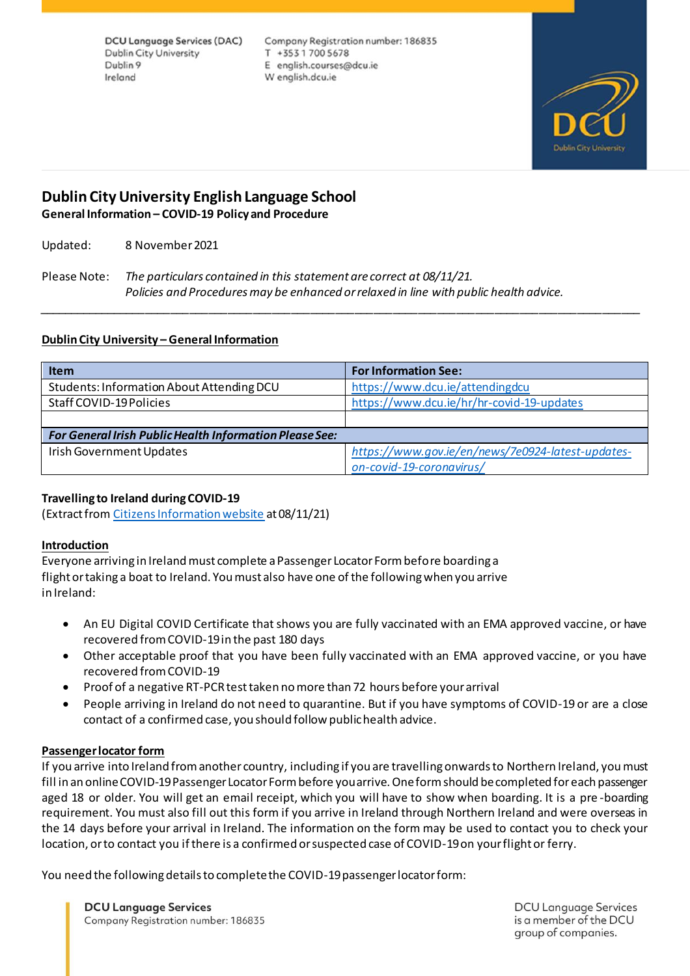**DCU Language Services (DAC) Dublin City University** Dublin 9 Ireland

Company Registration number: 186835 T +35317005678 E english.courses@dcu.ie W english.dcu.ie



# **Dublin City University English Language School General Information – COVID-19 Policy and Procedure**

Updated: 8 November 2021

Please Note: *The particulars contained in this statement are correct at 08/11/21. Policies and Procedures may be enhanced or relaxed in line with public health advice.* 

## **Dublin City University – General Information**

| <b>Item</b>                                                    | <b>For Information See:</b>                       |
|----------------------------------------------------------------|---------------------------------------------------|
| Students: Information About Attending DCU                      | https://www.dcu.ie/attendingdcu                   |
| Staff COVID-19 Policies                                        | https://www.dcu.ie/hr/hr-covid-19-updates         |
|                                                                |                                                   |
| <b>For General Irish Public Health Information Please See:</b> |                                                   |
| Irish Government Updates                                       | https://www.gov.ie/en/news/7e0924-latest-updates- |
|                                                                | on-covid-19-coronavirus/                          |

*\_\_\_\_\_\_\_\_\_\_\_\_\_\_\_\_\_\_\_\_\_\_\_\_\_\_\_\_\_\_\_\_\_\_\_\_\_\_\_\_\_\_\_\_\_\_\_\_\_\_\_\_\_\_\_\_\_\_\_\_\_\_\_\_\_\_\_\_\_\_\_\_\_\_\_\_\_\_\_\_\_\_\_\_\_\_\_\_\_\_\_\_\_\_\_*

## **Travelling to Ireland during COVID-19**

(Extract fro[m Citizens Information website](https://www.citizensinformation.ie/en/travel_and_recreation/travel_to_ireland/travel_to_ireland_during_covid.html) at 08/11/21)

#### **Introduction**

Everyone arriving in Ireland must complete a Passenger Locator Form before boarding a flight or taking a boat to Ireland. You must also have one of the following when you arrive in Ireland:

- An EU Digital COVID Certificate that shows you are fully vaccinated with an EMA approved vaccine, or have recovered from COVID-19 in the past 180 days
- Other acceptable proof that you have been fully vaccinated with an EMA approved vaccine, or you have recovered from COVID-19
- Proof of a negative RT-PCR test taken no more than 72 hours before your arrival
- People arriving in Ireland do not need to quarantine. But if you have symptoms of COVID-19 or are a close contact of a confirmed case, you should follow public health advice.

## **Passenger locator form**

If you arrive into Ireland from another country, including if you are travelling onwards to Northern Ireland, you must fill in an online COVID-19 Passenger Locator Form before you arrive. One form should be completed for each passenger aged 18 or older. You will get an email receipt, which you will have to show when boarding. It is a pre -boarding requirement. You must also fill out this form if you arrive in Ireland through Northern Ireland and were overseas in the 14 days before your arrival in Ireland. The information on the form may be used to contact you to check your location, or to contact you if there is a confirmed or suspected case of COVID-19 on your flight or ferry.

You need the following details to complete the COVID-19 passenger locator form:

**DCU Language Services** Company Registration number: 186835 **DCU Language Services** is a member of the DCU group of companies.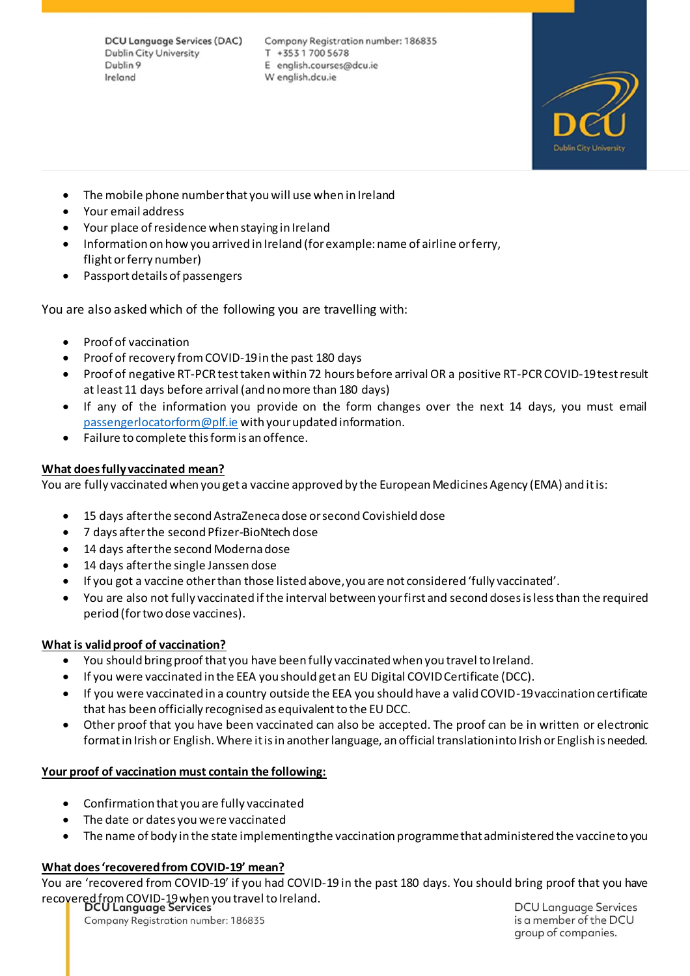**DCU Language Services (DAC) Dublin City University** Dublin 9 Ireland

Company Registration number: 186835 T +35317005678 E english.courses@dcu.ie W english.dcu.ie



- The mobile phone number that you will use when in Ireland
- Your email address
- Your place of residence when staying in Ireland
- Information on how you arrived in Ireland (for example: name of airline or ferry, flight or ferry number)
- Passport details of passengers

You are also asked which of the following you are travelling with:

- Proof of vaccination
- Proof of recovery from COVID-19 in the past 180 days
- Proof of negative RT-PCR test taken within 72 hours before arrival OR a positive RT-PCR COVID-19 test result at least 11 days before arrival (and no more than 180 days)
- If any of the information you provide on the form changes over the next 14 days, you must email [passengerlocatorform@plf.ie](mailto:passengerlocatorform@plf.ie) with your updated information.
- Failure to complete this form is an offence.

## **What does fully vaccinated mean?**

You are fully vaccinated when you get a vaccine approved by the European Medicines Agency (EMA) and it is:

- 15 days after the second AstraZeneca dose or second Covishield dose
- 7 days after the second Pfizer-BioNtech dose
- 14 days after the second Moderna dose
- 14 days after the single Janssen dose
- If you got a vaccine other than those listed above, you are not considered 'fully vaccinated'.
- You are also not fully vaccinated if the interval between your first and second doses is less than the required period (for two dose vaccines).

## **What is valid proof of vaccination?**

- You should bring proof that you have been fully vaccinated when you travel to Ireland.
- If you were vaccinated in the EEA you should get an EU Digital COVID Certificate (DCC).
- If you were vaccinated in a country outside the EEA you should have a valid COVID-19 vaccination certificate that has been officially recognised as equivalent to the EU DCC.
- Other proof that you have been vaccinated can also be accepted. The proof can be in written or electronic format in Irish or English. Where it is in another language, an official translation into Irish or English is needed.

## **Your proof of vaccination must contain the following:**

- Confirmation that you are fully vaccinated
- The date or dates you were vaccinated
- The name of body in the state implementing the vaccination programme that administered the vaccine to you

## **What does 'recovered from COVID-19' mean?**

You are 'recovered from COVID-19' if you had COVID-19 in the past 180 days. You should bring proof that you have recovered from COVID-19 when you travel to Ireland.

Company Registration number: 186835

**DCU Language Services** is a member of the DCU group of companies.